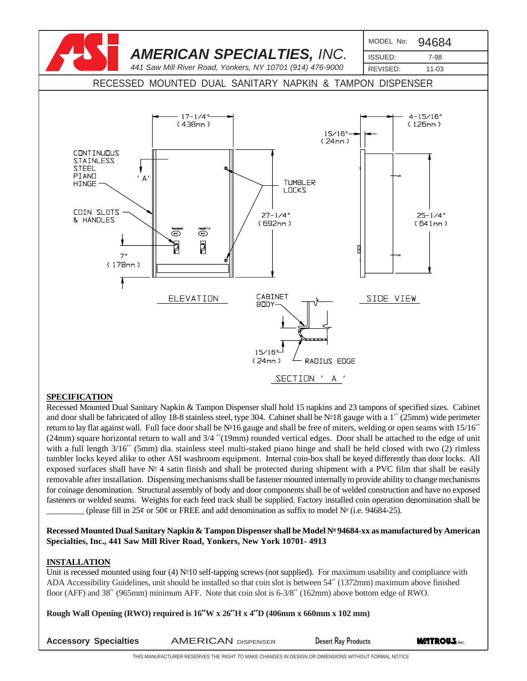

### **SPECIFICATION**

Recessed Mounted Dual Sanitary Napkin & Tampon Dispenser shall hold 15 napkins and 23 tampons of specified sizes. Cabinet and door shall be fabricated of alloy 18-8 stainless steel, type 304. Cabinet shall be №18 gauge with a 1'' (25mm) wide perimeter return to lay flat against wall. Full face door shall be  $N<sup>2</sup>16$  gauge and shall be free of miters, welding or open seams with  $15/16''$ (24mm) square horizontal return to wall and 3/4 ′′(19mm) rounded vertical edges. Door shall be attached to the edge of unit with a full length  $3/16''$  (5mm) dia. stainless steel multi-staked piano hinge and shall be held closed with two (2) rimless tumbler locks keyed alike to other ASI washroom equipment. Internal coin-box shall be keyed differently than door locks. All exposed surfaces shall have  $N<sup>2</sup>$  4 satin finish and shall be protected during shipment with a PVC film that shall be easily removable after installation. Dispensing mechanisms shall be fastener mounted internally to provide ability to change mechanisms for coinage denomination. Structural assembly of body and door components shall be of welded construction and have no exposed fasteners or welded seams. Weights for each feed track shall be supplied. Factory installed coin operation denomination shall be (please fill in 25¢ or 50¢ or FREE and add denomination as suffix to model  $N^{\circ}$  (i.e. 94684-25).

**Recessed Mounted Dual Sanitary Napkin & Tampon Dispenser shall be Model No 94684-xx as manufactured by American Specialties, Inc., 441 Saw Mill River Road, Yonkers, New York 10701- 4913**

#### **INSTALLATION**

Unit is recessed mounted using four  $(4)$  N°10 self-tapping screws (not supplied). For maximum usability and compliance with ADA Accessibility Guidelines, unit should be installed so that coin slot is between 54′′ (1372mm) maximum above finished floor (AFF) and 38′′ (965mm) minimum AFF. Note that coin slot is 6-3/8′′ (162mm) above bottom edge of RWO.

**Rough Wall Opening (RWO) required is 16**′′**W x 26**′′**H x 4**′′**D (406mm x 660mm x 102 mm)**

**ACCESSORY Specialties AMERICAN DISPENSER BESERT Desert Ray Products <b>WATROUS**, INC.